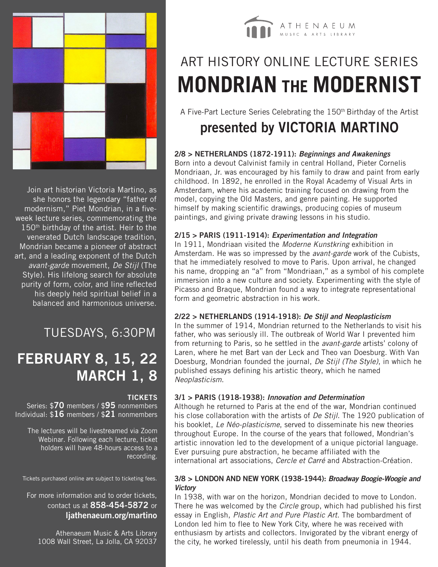

Join art historian Victoria Martino, as she honors the legendary "father of modernism," Piet Mondrian, in a fiveweek lecture series, commemorating the 150<sup>th</sup> birthday of the artist. Heir to the venerated Dutch landscape tradition, Mondrian became a pioneer of abstract art, and a leading exponent of the Dutch *avant-garde* movement, *De Stijl* (The Style). His lifelong search for absolute purity of form, color, and line reflected his deeply held spiritual belief in a balanced and harmonious universe.

### TUESDAYS, 6:30PM

### **FEBRUARY 8, 15, 22 MARCH 1, 8**

#### **TICKETS**

Series: \$**70** members / \$**95** nonmembers Individual: \$**16** members / \$**21** nonmembers

The lectures will be livestreamed via Zoom Webinar. Following each lecture, ticket holders will have 48-hours access to a recording.

Tickets purchased online are subject to ticketing fees.

#### For more information and to order tickets, contact us at **858-454-5872** or **ljathenaeum.org/martino**

Athenaeum Music & Arts Library 1008 Wall Street, La Jolla, CA 92037



# ART HISTORY ONLINE LECTURE SERIES **MONDRIAN THE MODERNIST**

A Five-Part Lecture Series Celebrating the 150<sup>th</sup> Birthday of the Artist

### **presented by VICTORIA MARTINO**

#### **2/8 > NETHERLANDS (1872-1911):** *Beginnings and Awakenings*

Born into a devout Calvinist family in central Holland, Pieter Cornelis Mondriaan, Jr. was encouraged by his family to draw and paint from early childhood. In 1892, he enrolled in the Royal Academy of Visual Arts in Amsterdam, where his academic training focused on drawing from the model, copying the Old Masters, and genre painting. He supported himself by making scientific drawings, producing copies of museum paintings, and giving private drawing lessons in his studio.

#### **2/15 > PARIS (1911-1914):** *Experimentation and Integration*

In 1911, Mondriaan visited the *Moderne Kunstkring* exhibition in Amsterdam. He was so impressed by the *avant-garde* work of the Cubists, that he immediately resolved to move to Paris. Upon arrival, he changed his name, dropping an "a" from "Mondriaan," as a symbol of his complete immersion into a new culture and society. Experimenting with the style of Picasso and Braque, Mondrian found a way to integrate representational form and geometric abstraction in his work.

#### **2/22 > NETHERLANDS (1914-1918):** *De Stijl and Neoplasticism*

In the summer of 1914, Mondrian returned to the Netherlands to visit his father, who was seriously ill. The outbreak of World War I prevented him from returning to Paris, so he settled in the *avant-garde* artists' colony of Laren, where he met Bart van der Leck and Theo van Doesburg. With Van Doesburg, Mondrian founded the journal, *De Stijl (The Style)*, in which he published essays defining his artistic theory, which he named *Neoplasticism*.

#### **3/1 > PARIS (1918-1938):** *Innovation and Determination*

Although he returned to Paris at the end of the war, Mondrian continued his close collaboration with the artists of *De Stijl*. The 1920 publication of his booklet, *Le Néo-plasticisme*, served to disseminate his new theories throughout Europe. In the course of the years that followed, Mondrian's artistic innovation led to the development of a unique pictorial language. Ever pursuing pure abstraction, he became affiliated with the international art associations, *Cercle et Carré* and Abstraction-Création.

#### **3/8 > LONDON AND NEW YORK (1938-1944):** *Broadway Boogie-Woogie and Victory*

In 1938, with war on the horizon, Mondrian decided to move to London. There he was welcomed by the *Circle* group, which had published his first essay in English, *Plastic Art and Pure Plastic Art*. The bombardment of London led him to flee to New York City, where he was received with enthusiasm by artists and collectors. Invigorated by the vibrant energy of the city, he worked tirelessly, until his death from pneumonia in 1944.